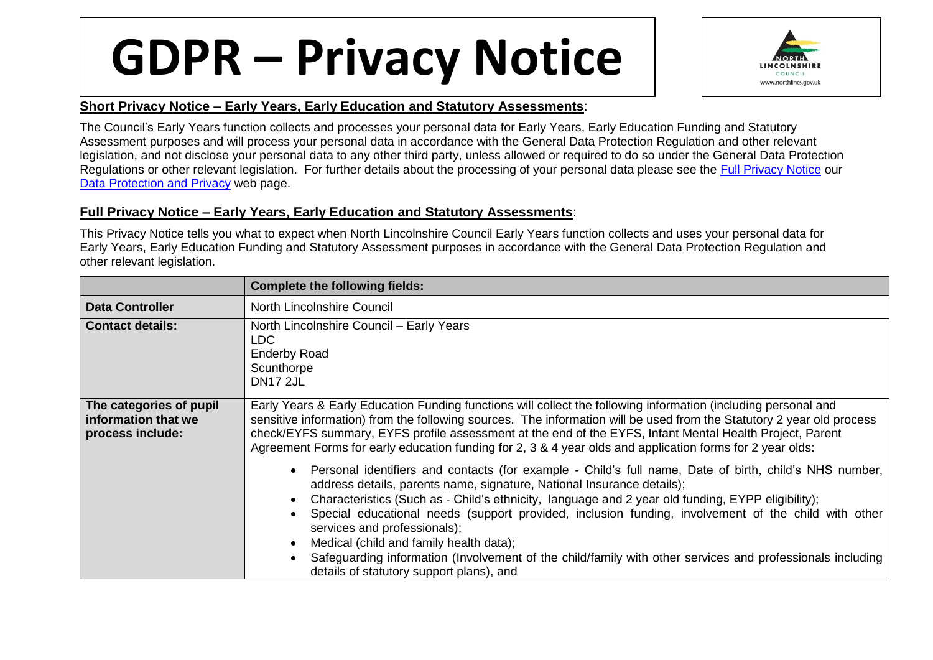## **GDPR – Privacy Notice**



## **Short Privacy Notice – Early Years, Early Education and Statutory Assessments**:

The Council's Early Years function collects and processes your personal data for Early Years, Early Education Funding and Statutory Assessment purposes and will process your personal data in accordance with the General Data Protection Regulation and other relevant legislation, and not disclose your personal data to any other third party, unless allowed or required to do so under the General Data Protection Regulations or other relevant legislation. For further details about the processing of your personal data please see the [Full Privacy Notice](http://www.northlincs.gov.uk/site/privacy/) our [Data Protection and Privacy](http://www.northlincs.gov.uk/your-council/information-and-performance/information-governance/dataprotection/) web page.

## **Full Privacy Notice – Early Years, Early Education and Statutory Assessments**:

This Privacy Notice tells you what to expect when North Lincolnshire Council Early Years function collects and uses your personal data for Early Years, Early Education Funding and Statutory Assessment purposes in accordance with the General Data Protection Regulation and other relevant legislation.

|                                                                    | <b>Complete the following fields:</b>                                                                                                                                                                                                                                                                                                                                                                                                                                                                                                                                                                                                                                                                                                                                                                                                                                                                                                                                                                                                                                                                |
|--------------------------------------------------------------------|------------------------------------------------------------------------------------------------------------------------------------------------------------------------------------------------------------------------------------------------------------------------------------------------------------------------------------------------------------------------------------------------------------------------------------------------------------------------------------------------------------------------------------------------------------------------------------------------------------------------------------------------------------------------------------------------------------------------------------------------------------------------------------------------------------------------------------------------------------------------------------------------------------------------------------------------------------------------------------------------------------------------------------------------------------------------------------------------------|
| <b>Data Controller</b>                                             | North Lincolnshire Council                                                                                                                                                                                                                                                                                                                                                                                                                                                                                                                                                                                                                                                                                                                                                                                                                                                                                                                                                                                                                                                                           |
| <b>Contact details:</b>                                            | North Lincolnshire Council - Early Years<br>LDC.<br><b>Enderby Road</b><br>Scunthorpe<br><b>DN17 2JL</b>                                                                                                                                                                                                                                                                                                                                                                                                                                                                                                                                                                                                                                                                                                                                                                                                                                                                                                                                                                                             |
| The categories of pupil<br>information that we<br>process include: | Early Years & Early Education Funding functions will collect the following information (including personal and<br>sensitive information) from the following sources. The information will be used from the Statutory 2 year old process<br>check/EYFS summary, EYFS profile assessment at the end of the EYFS, Infant Mental Health Project, Parent<br>Agreement Forms for early education funding for 2, 3 & 4 year olds and application forms for 2 year olds:<br>Personal identifiers and contacts (for example - Child's full name, Date of birth, child's NHS number,<br>address details, parents name, signature, National Insurance details);<br>Characteristics (Such as - Child's ethnicity, language and 2 year old funding, EYPP eligibility);<br>Special educational needs (support provided, inclusion funding, involvement of the child with other<br>services and professionals);<br>Medical (child and family health data);<br>Safeguarding information (Involvement of the child/family with other services and professionals including<br>details of statutory support plans), and |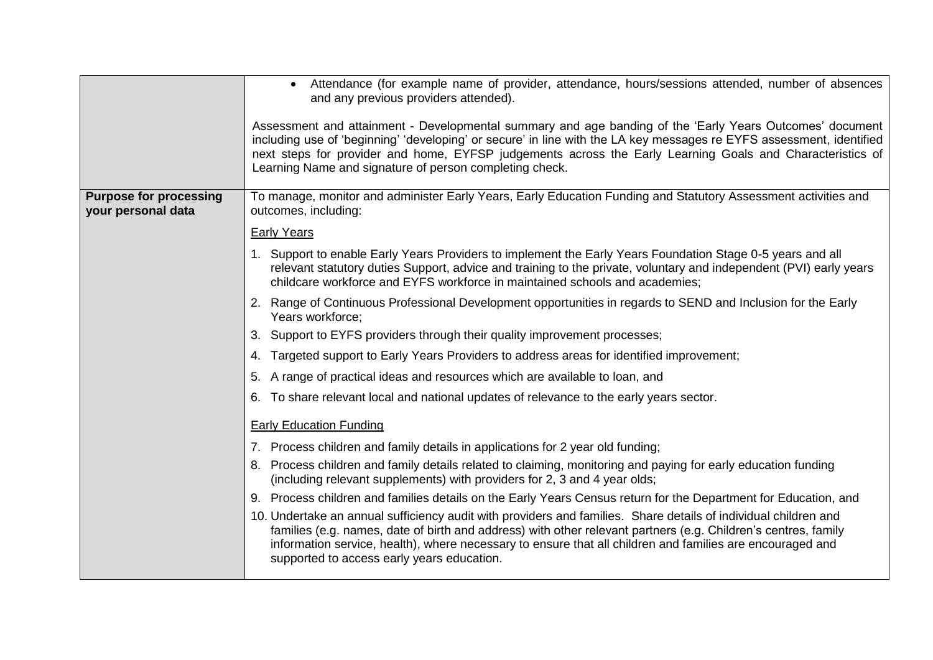|                                                     | • Attendance (for example name of provider, attendance, hours/sessions attended, number of absences<br>and any previous providers attended).<br>Assessment and attainment - Developmental summary and age banding of the 'Early Years Outcomes' document<br>including use of 'beginning' 'developing' or secure' in line with the LA key messages re EYFS assessment, identified<br>next steps for provider and home, EYFSP judgements across the Early Learning Goals and Characteristics of<br>Learning Name and signature of person completing check. |
|-----------------------------------------------------|----------------------------------------------------------------------------------------------------------------------------------------------------------------------------------------------------------------------------------------------------------------------------------------------------------------------------------------------------------------------------------------------------------------------------------------------------------------------------------------------------------------------------------------------------------|
| <b>Purpose for processing</b><br>your personal data | To manage, monitor and administer Early Years, Early Education Funding and Statutory Assessment activities and<br>outcomes, including:                                                                                                                                                                                                                                                                                                                                                                                                                   |
|                                                     |                                                                                                                                                                                                                                                                                                                                                                                                                                                                                                                                                          |
|                                                     | <b>Early Years</b>                                                                                                                                                                                                                                                                                                                                                                                                                                                                                                                                       |
|                                                     | 1. Support to enable Early Years Providers to implement the Early Years Foundation Stage 0-5 years and all<br>relevant statutory duties Support, advice and training to the private, voluntary and independent (PVI) early years<br>childcare workforce and EYFS workforce in maintained schools and academies;                                                                                                                                                                                                                                          |
|                                                     | 2. Range of Continuous Professional Development opportunities in regards to SEND and Inclusion for the Early<br>Years workforce:                                                                                                                                                                                                                                                                                                                                                                                                                         |
|                                                     | 3. Support to EYFS providers through their quality improvement processes;                                                                                                                                                                                                                                                                                                                                                                                                                                                                                |
|                                                     | 4. Targeted support to Early Years Providers to address areas for identified improvement;                                                                                                                                                                                                                                                                                                                                                                                                                                                                |
|                                                     | 5. A range of practical ideas and resources which are available to loan, and                                                                                                                                                                                                                                                                                                                                                                                                                                                                             |
|                                                     | 6. To share relevant local and national updates of relevance to the early years sector.                                                                                                                                                                                                                                                                                                                                                                                                                                                                  |
|                                                     | <b>Early Education Funding</b>                                                                                                                                                                                                                                                                                                                                                                                                                                                                                                                           |
|                                                     | 7. Process children and family details in applications for 2 year old funding;                                                                                                                                                                                                                                                                                                                                                                                                                                                                           |
|                                                     | 8. Process children and family details related to claiming, monitoring and paying for early education funding<br>(including relevant supplements) with providers for 2, 3 and 4 year olds;                                                                                                                                                                                                                                                                                                                                                               |
|                                                     | 9. Process children and families details on the Early Years Census return for the Department for Education, and                                                                                                                                                                                                                                                                                                                                                                                                                                          |
|                                                     | 10. Undertake an annual sufficiency audit with providers and families. Share details of individual children and<br>families (e.g. names, date of birth and address) with other relevant partners (e.g. Children's centres, family<br>information service, health), where necessary to ensure that all children and families are encouraged and<br>supported to access early years education.                                                                                                                                                             |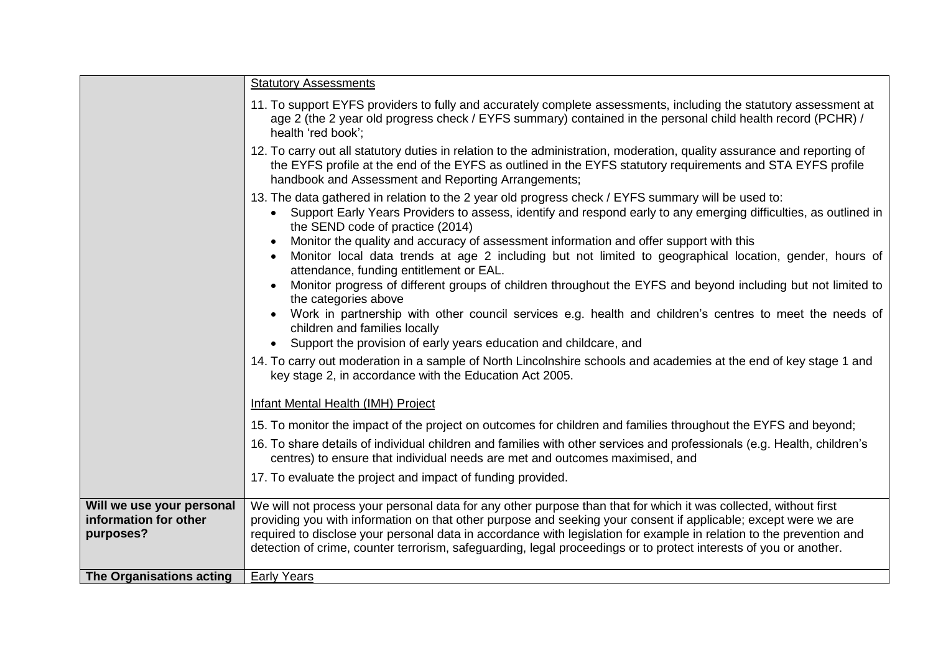|                                                                 | <b>Statutory Assessments</b>                                                                                                                                                                                                                                                                                                                                                                                                                                                     |
|-----------------------------------------------------------------|----------------------------------------------------------------------------------------------------------------------------------------------------------------------------------------------------------------------------------------------------------------------------------------------------------------------------------------------------------------------------------------------------------------------------------------------------------------------------------|
|                                                                 | 11. To support EYFS providers to fully and accurately complete assessments, including the statutory assessment at<br>age 2 (the 2 year old progress check / EYFS summary) contained in the personal child health record (PCHR) /<br>health 'red book';                                                                                                                                                                                                                           |
|                                                                 | 12. To carry out all statutory duties in relation to the administration, moderation, quality assurance and reporting of<br>the EYFS profile at the end of the EYFS as outlined in the EYFS statutory requirements and STA EYFS profile<br>handbook and Assessment and Reporting Arrangements;                                                                                                                                                                                    |
|                                                                 | 13. The data gathered in relation to the 2 year old progress check / EYFS summary will be used to:<br>Support Early Years Providers to assess, identify and respond early to any emerging difficulties, as outlined in<br>the SEND code of practice (2014)                                                                                                                                                                                                                       |
|                                                                 | Monitor the quality and accuracy of assessment information and offer support with this<br>Monitor local data trends at age 2 including but not limited to geographical location, gender, hours of<br>attendance, funding entitlement or EAL.                                                                                                                                                                                                                                     |
|                                                                 | Monitor progress of different groups of children throughout the EYFS and beyond including but not limited to<br>the categories above                                                                                                                                                                                                                                                                                                                                             |
|                                                                 | Work in partnership with other council services e.g. health and children's centres to meet the needs of<br>children and families locally                                                                                                                                                                                                                                                                                                                                         |
|                                                                 | Support the provision of early years education and childcare, and<br>$\bullet$                                                                                                                                                                                                                                                                                                                                                                                                   |
|                                                                 | 14. To carry out moderation in a sample of North Lincolnshire schools and academies at the end of key stage 1 and<br>key stage 2, in accordance with the Education Act 2005.                                                                                                                                                                                                                                                                                                     |
|                                                                 | Infant Mental Health (IMH) Project                                                                                                                                                                                                                                                                                                                                                                                                                                               |
|                                                                 | 15. To monitor the impact of the project on outcomes for children and families throughout the EYFS and beyond;                                                                                                                                                                                                                                                                                                                                                                   |
|                                                                 | 16. To share details of individual children and families with other services and professionals (e.g. Health, children's<br>centres) to ensure that individual needs are met and outcomes maximised, and                                                                                                                                                                                                                                                                          |
|                                                                 | 17. To evaluate the project and impact of funding provided.                                                                                                                                                                                                                                                                                                                                                                                                                      |
| Will we use your personal<br>information for other<br>purposes? | We will not process your personal data for any other purpose than that for which it was collected, without first<br>providing you with information on that other purpose and seeking your consent if applicable; except were we are<br>required to disclose your personal data in accordance with legislation for example in relation to the prevention and<br>detection of crime, counter terrorism, safeguarding, legal proceedings or to protect interests of you or another. |
| The Organisations acting                                        | <b>Early Years</b>                                                                                                                                                                                                                                                                                                                                                                                                                                                               |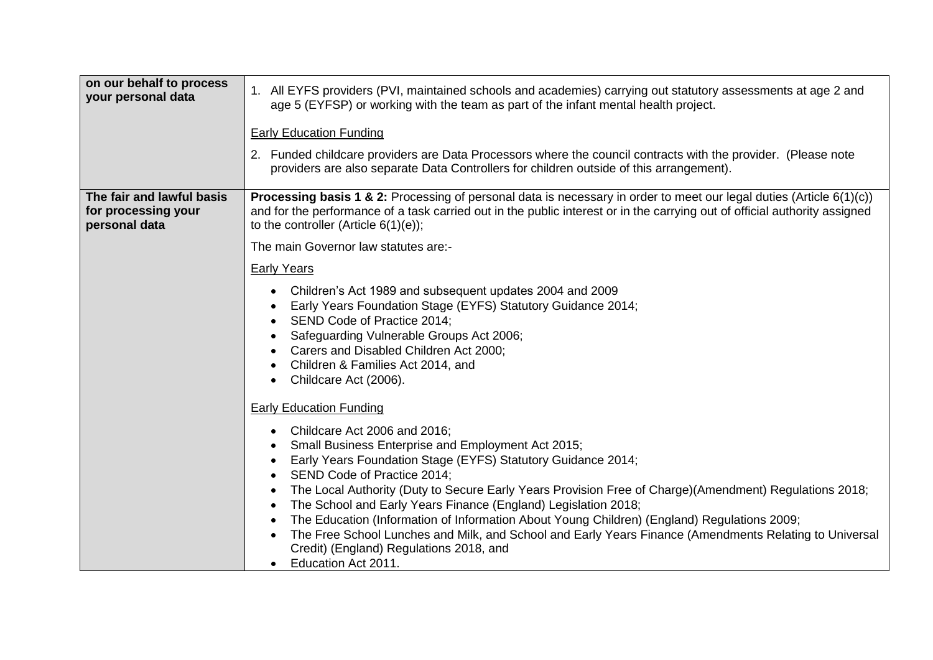| on our behalf to process<br>your personal data                    | 1. All EYFS providers (PVI, maintained schools and academies) carrying out statutory assessments at age 2 and<br>age 5 (EYFSP) or working with the team as part of the infant mental health project.<br><b>Early Education Funding</b><br>2. Funded childcare providers are Data Processors where the council contracts with the provider. (Please note<br>providers are also separate Data Controllers for children outside of this arrangement).                                                                                                                                                                                                                                      |
|-------------------------------------------------------------------|-----------------------------------------------------------------------------------------------------------------------------------------------------------------------------------------------------------------------------------------------------------------------------------------------------------------------------------------------------------------------------------------------------------------------------------------------------------------------------------------------------------------------------------------------------------------------------------------------------------------------------------------------------------------------------------------|
| The fair and lawful basis<br>for processing your<br>personal data | <b>Processing basis 1 &amp; 2:</b> Processing of personal data is necessary in order to meet our legal duties (Article 6(1)(c))<br>and for the performance of a task carried out in the public interest or in the carrying out of official authority assigned<br>to the controller (Article $6(1)(e)$ );                                                                                                                                                                                                                                                                                                                                                                                |
|                                                                   | The main Governor law statutes are:-                                                                                                                                                                                                                                                                                                                                                                                                                                                                                                                                                                                                                                                    |
|                                                                   | <b>Early Years</b>                                                                                                                                                                                                                                                                                                                                                                                                                                                                                                                                                                                                                                                                      |
|                                                                   | Children's Act 1989 and subsequent updates 2004 and 2009<br>Early Years Foundation Stage (EYFS) Statutory Guidance 2014;<br>SEND Code of Practice 2014;<br>Safeguarding Vulnerable Groups Act 2006;<br>Carers and Disabled Children Act 2000;<br>Children & Families Act 2014, and<br>Childcare Act (2006).                                                                                                                                                                                                                                                                                                                                                                             |
|                                                                   | <b>Early Education Funding</b><br>Childcare Act 2006 and 2016;<br>$\bullet$<br>Small Business Enterprise and Employment Act 2015;<br>Early Years Foundation Stage (EYFS) Statutory Guidance 2014;<br>SEND Code of Practice 2014;<br>The Local Authority (Duty to Secure Early Years Provision Free of Charge)(Amendment) Regulations 2018;<br>The School and Early Years Finance (England) Legislation 2018;<br>The Education (Information of Information About Young Children) (England) Regulations 2009;<br>The Free School Lunches and Milk, and School and Early Years Finance (Amendments Relating to Universal<br>Credit) (England) Regulations 2018, and<br>Education Act 2011. |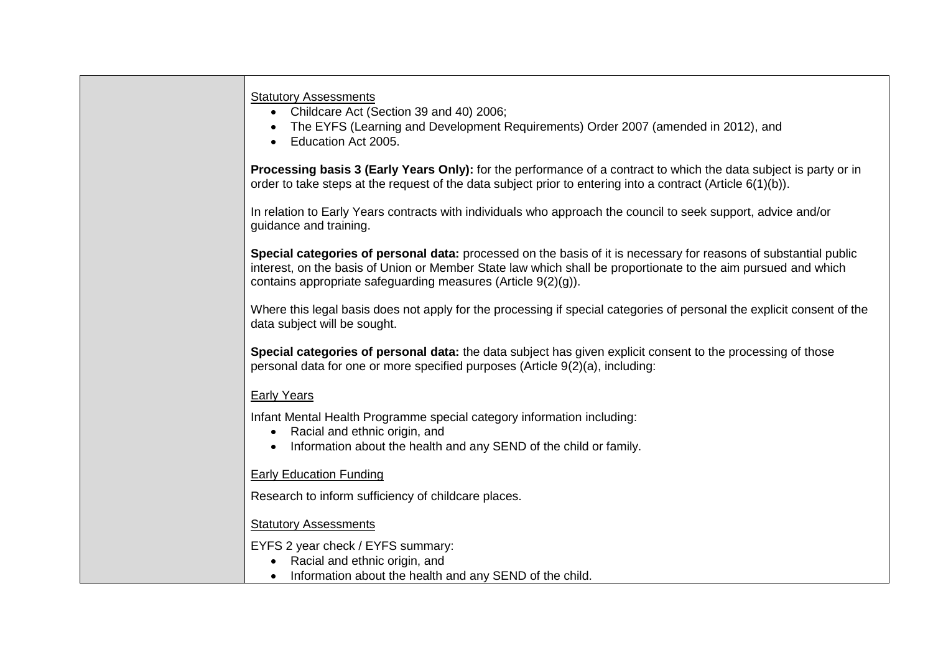|                    | <b>Statutory Assessments</b><br>• Childcare Act (Section 39 and 40) 2006;<br>The EYFS (Learning and Development Requirements) Order 2007 (amended in 2012), and<br>Education Act 2005.                                                                                                             |  |
|--------------------|----------------------------------------------------------------------------------------------------------------------------------------------------------------------------------------------------------------------------------------------------------------------------------------------------|--|
|                    | Processing basis 3 (Early Years Only): for the performance of a contract to which the data subject is party or in<br>order to take steps at the request of the data subject prior to entering into a contract (Article 6(1)(b)).                                                                   |  |
|                    | In relation to Early Years contracts with individuals who approach the council to seek support, advice and/or<br>guidance and training.                                                                                                                                                            |  |
|                    | Special categories of personal data: processed on the basis of it is necessary for reasons of substantial public<br>interest, on the basis of Union or Member State law which shall be proportionate to the aim pursued and which<br>contains appropriate safeguarding measures (Article 9(2)(g)). |  |
|                    | Where this legal basis does not apply for the processing if special categories of personal the explicit consent of the<br>data subject will be sought.                                                                                                                                             |  |
|                    | Special categories of personal data: the data subject has given explicit consent to the processing of those<br>personal data for one or more specified purposes (Article 9(2)(a), including:                                                                                                       |  |
| <b>Early Years</b> |                                                                                                                                                                                                                                                                                                    |  |
| $\bullet$          | Infant Mental Health Programme special category information including:<br>Racial and ethnic origin, and<br>Information about the health and any SEND of the child or family.                                                                                                                       |  |
|                    | <b>Early Education Funding</b>                                                                                                                                                                                                                                                                     |  |
|                    | Research to inform sufficiency of childcare places.                                                                                                                                                                                                                                                |  |
|                    | <b>Statutory Assessments</b>                                                                                                                                                                                                                                                                       |  |
|                    | EYFS 2 year check / EYFS summary:<br>Racial and ethnic origin, and                                                                                                                                                                                                                                 |  |
|                    | Information about the health and any SEND of the child.                                                                                                                                                                                                                                            |  |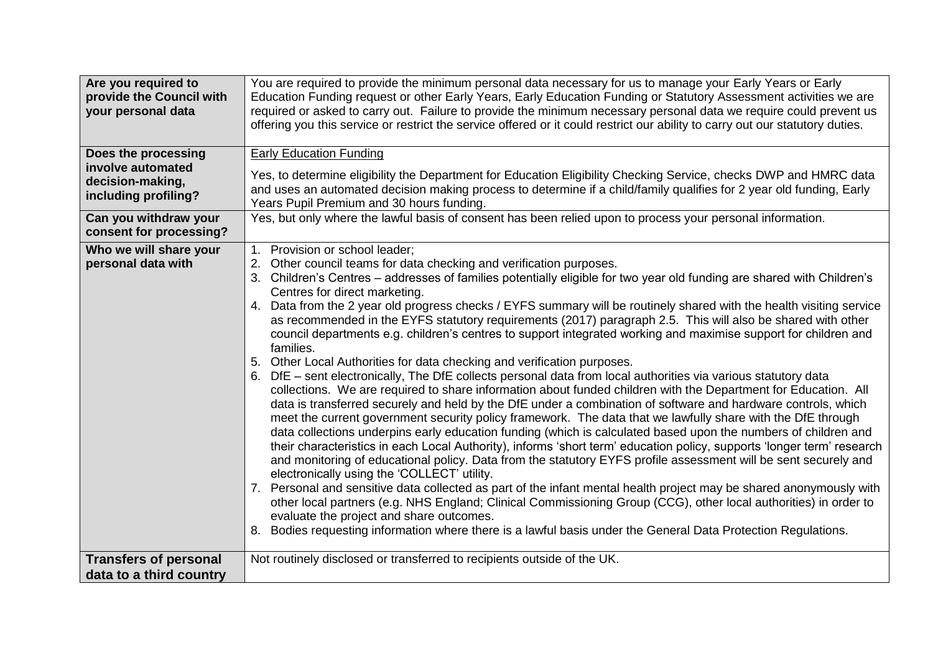| Are you required to<br>provide the Council with<br>your personal data<br>Does the processing | You are required to provide the minimum personal data necessary for us to manage your Early Years or Early<br>Education Funding request or other Early Years, Early Education Funding or Statutory Assessment activities we are<br>required or asked to carry out. Failure to provide the minimum necessary personal data we require could prevent us<br>offering you this service or restrict the service offered or it could restrict our ability to carry out our statutory duties.<br><b>Early Education Funding</b>                                                                                                                                                                                                                                                                                                                                                                                                                                                                                                                                                                                                                                                                                                                                                                                                                                                                                                                                                                                                                                                                                                                                                                                                                                                                                                                                                                                                                                                                                     |
|----------------------------------------------------------------------------------------------|--------------------------------------------------------------------------------------------------------------------------------------------------------------------------------------------------------------------------------------------------------------------------------------------------------------------------------------------------------------------------------------------------------------------------------------------------------------------------------------------------------------------------------------------------------------------------------------------------------------------------------------------------------------------------------------------------------------------------------------------------------------------------------------------------------------------------------------------------------------------------------------------------------------------------------------------------------------------------------------------------------------------------------------------------------------------------------------------------------------------------------------------------------------------------------------------------------------------------------------------------------------------------------------------------------------------------------------------------------------------------------------------------------------------------------------------------------------------------------------------------------------------------------------------------------------------------------------------------------------------------------------------------------------------------------------------------------------------------------------------------------------------------------------------------------------------------------------------------------------------------------------------------------------------------------------------------------------------------------------------------------------|
| involve automated<br>decision-making,<br>including profiling?                                | Yes, to determine eligibility the Department for Education Eligibility Checking Service, checks DWP and HMRC data<br>and uses an automated decision making process to determine if a child/family qualifies for 2 year old funding, Early<br>Years Pupil Premium and 30 hours funding.                                                                                                                                                                                                                                                                                                                                                                                                                                                                                                                                                                                                                                                                                                                                                                                                                                                                                                                                                                                                                                                                                                                                                                                                                                                                                                                                                                                                                                                                                                                                                                                                                                                                                                                       |
| Can you withdraw your<br>consent for processing?                                             | Yes, but only where the lawful basis of consent has been relied upon to process your personal information.                                                                                                                                                                                                                                                                                                                                                                                                                                                                                                                                                                                                                                                                                                                                                                                                                                                                                                                                                                                                                                                                                                                                                                                                                                                                                                                                                                                                                                                                                                                                                                                                                                                                                                                                                                                                                                                                                                   |
| Who we will share your<br>personal data with                                                 | 1. Provision or school leader;<br>Other council teams for data checking and verification purposes.<br>3. Children's Centres - addresses of families potentially eligible for two year old funding are shared with Children's<br>Centres for direct marketing.<br>4. Data from the 2 year old progress checks / EYFS summary will be routinely shared with the health visiting service<br>as recommended in the EYFS statutory requirements (2017) paragraph 2.5. This will also be shared with other<br>council departments e.g. children's centres to support integrated working and maximise support for children and<br>families.<br>5. Other Local Authorities for data checking and verification purposes.<br>6. DfE - sent electronically, The DfE collects personal data from local authorities via various statutory data<br>collections. We are required to share information about funded children with the Department for Education. All<br>data is transferred securely and held by the DfE under a combination of software and hardware controls, which<br>meet the current government security policy framework. The data that we lawfully share with the DfE through<br>data collections underpins early education funding (which is calculated based upon the numbers of children and<br>their characteristics in each Local Authority), informs 'short term' education policy, supports 'longer term' research<br>and monitoring of educational policy. Data from the statutory EYFS profile assessment will be sent securely and<br>electronically using the 'COLLECT' utility.<br>Personal and sensitive data collected as part of the infant mental health project may be shared anonymously with<br>7.<br>other local partners (e.g. NHS England; Clinical Commissioning Group (CCG), other local authorities) in order to<br>evaluate the project and share outcomes.<br>8. Bodies requesting information where there is a lawful basis under the General Data Protection Regulations. |
| <b>Transfers of personal</b>                                                                 | Not routinely disclosed or transferred to recipients outside of the UK.                                                                                                                                                                                                                                                                                                                                                                                                                                                                                                                                                                                                                                                                                                                                                                                                                                                                                                                                                                                                                                                                                                                                                                                                                                                                                                                                                                                                                                                                                                                                                                                                                                                                                                                                                                                                                                                                                                                                      |
| data to a third country                                                                      |                                                                                                                                                                                                                                                                                                                                                                                                                                                                                                                                                                                                                                                                                                                                                                                                                                                                                                                                                                                                                                                                                                                                                                                                                                                                                                                                                                                                                                                                                                                                                                                                                                                                                                                                                                                                                                                                                                                                                                                                              |